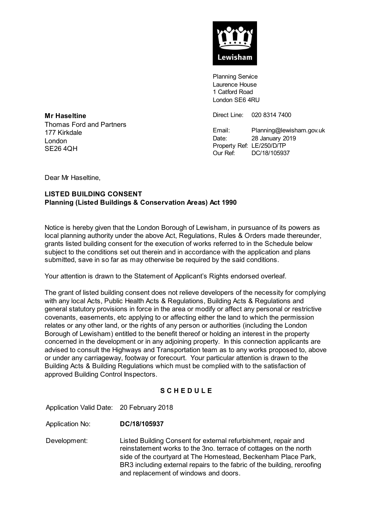

Planning Service Laurence House 1 Catford Road London SE6 4RU

Direct Line: 020 8314 7400

Email: Planning@lewisham.gov.uk Date: 28 January 2019 Property Ref: LE/250/D/TP Our Ref: DC/18/105937

**Mr Haseltine** Thomas Ford and Partners 177 Kirkdale London SE26 4QH

Dear Mr Haseltine,

# **LISTED BUILDING CONSENT Planning (Listed Buildings & Conservation Areas) Act 1990**

Notice is hereby given that the London Borough of Lewisham, in pursuance of its powers as local planning authority under the above Act, Regulations, Rules & Orders made thereunder, grants listed building consent for the execution of works referred to in the Schedule below subject to the conditions set out therein and in accordance with the application and plans submitted, save in so far as may otherwise be required by the said conditions.

Your attention is drawn to the Statement of Applicant's Rights endorsed overleaf.

The grant of listed building consent does not relieve developers of the necessity for complying with any local Acts, Public Health Acts & Regulations, Building Acts & Regulations and general statutory provisions in force in the area or modify or affect any personal or restrictive covenants, easements, etc applying to or affecting either the land to which the permission relates or any other land, or the rights of any person or authorities (including the London Borough of Lewisham) entitled to the benefit thereof or holding an interest in the property concerned in the development or in any adjoining property. In this connection applicants are advised to consult the Highways and Transportation team as to any works proposed to, above or under any carriageway, footway or forecourt. Your particular attention is drawn to the Building Acts & Building Regulations which must be complied with to the satisfaction of approved Building Control Inspectors.

## **S C H E D U L E**

Application Valid Date: 20 February 2018

Application No: **DC/18/105937**

Development: Listed Building Consent for external refurbishment, repair and reinstatement works to the 3no. terrace of cottages on the north side of the courtyard at The Homestead, Beckenham Place Park, BR3 including external repairs to the fabric of the building, reroofing and replacement of windows and doors.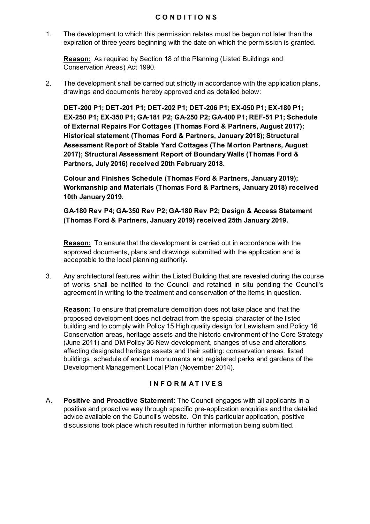### **C O N D I T I O N S**

1. The development to which this permission relates must be begun not later than the expiration of three years beginning with the date on which the permission is granted.

**Reason:** As required by Section 18 of the Planning (Listed Buildings and Conservation Areas) Act 1990.

2. The development shall be carried out strictly in accordance with the application plans, drawings and documents hereby approved and as detailed below:

**DET-200 P1; DET-201 P1; DET-202 P1; DET-206 P1; EX-050 P1; EX-180 P1; EX-250 P1; EX-350 P1; GA-181 P2; GA-250 P2; GA-400 P1; REF-51 P1; Schedule of External Repairs For Cottages (Thomas Ford & Partners, August 2017); Historical statement (Thomas Ford & Partners, January 2018); Structural Assessment Report of Stable Yard Cottages (The Morton Partners, August 2017); Structural Assessment Report of Boundary Walls (Thomas Ford & Partners, July 2016) received 20th February 2018.**

**Colour and Finishes Schedule (Thomas Ford & Partners, January 2019); Workmanship and Materials (Thomas Ford & Partners, January 2018) received 10th January 2019.** 

**GA-180 Rev P4; GA-350 Rev P2; GA-180 Rev P2; Design & Access Statement (Thomas Ford & Partners, January 2019) received 25th January 2019.** 

**Reason:** To ensure that the development is carried out in accordance with the approved documents, plans and drawings submitted with the application and is acceptable to the local planning authority.

3. Any architectural features within the Listed Building that are revealed during the course of works shall be notified to the Council and retained in situ pending the Council's agreement in writing to the treatment and conservation of the items in question.

**Reason:** To ensure that premature demolition does not take place and that the proposed development does not detract from the special character of the listed building and to comply with Policy 15 High quality design for Lewisham and Policy 16 Conservation areas, heritage assets and the historic environment of the Core Strategy (June 2011) and DM Policy 36 New development, changes of use and alterations affecting designated heritage assets and their setting: conservation areas, listed buildings, schedule of ancient monuments and registered parks and gardens of the Development Management Local Plan (November 2014).

## **I N F O R M A T I V E S**

A. **Positive and Proactive Statement:** The Council engages with all applicants in a positive and proactive way through specific pre-application enquiries and the detailed advice available on the Council's website. On this particular application, positive discussions took place which resulted in further information being submitted.